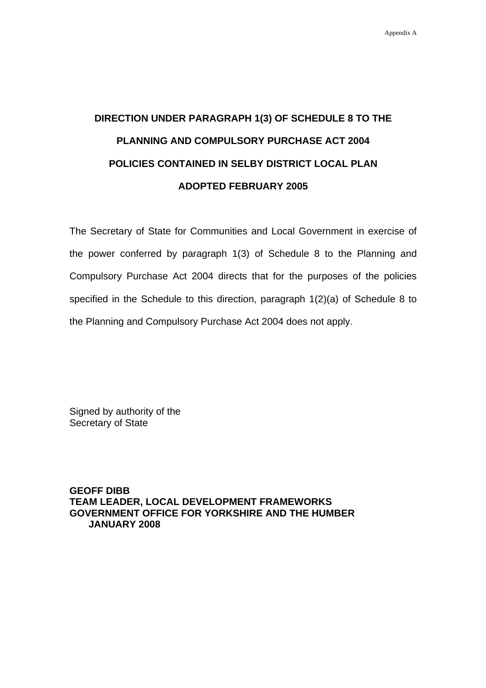## **DIRECTION UNDER PARAGRAPH 1(3) OF SCHEDULE 8 TO THE PLANNING AND COMPULSORY PURCHASE ACT 2004 POLICIES CONTAINED IN SELBY DISTRICT LOCAL PLAN ADOPTED FEBRUARY 2005**

The Secretary of State for Communities and Local Government in exercise of the power conferred by paragraph 1(3) of Schedule 8 to the Planning and Compulsory Purchase Act 2004 directs that for the purposes of the policies specified in the Schedule to this direction, paragraph 1(2)(a) of Schedule 8 to the Planning and Compulsory Purchase Act 2004 does not apply.

Signed by authority of the Secretary of State

**GEOFF DIBB TEAM LEADER, LOCAL DEVELOPMENT FRAMEWORKS GOVERNMENT OFFICE FOR YORKSHIRE AND THE HUMBER JANUARY 2008**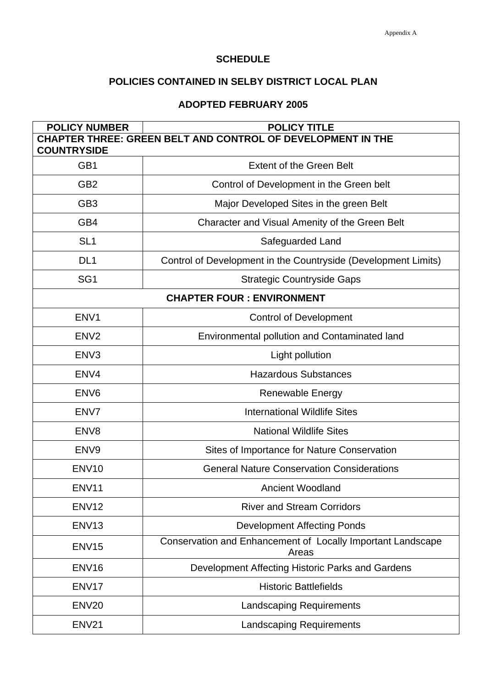## **SCHEDULE**

## **POLICIES CONTAINED IN SELBY DISTRICT LOCAL PLAN**

## **ADOPTED FEBRUARY 2005**

| <b>POLICY NUMBER</b>                                        | <b>POLICY TITLE</b>                                                  |  |
|-------------------------------------------------------------|----------------------------------------------------------------------|--|
| CHAPTER THREE: GREEN BELT AND CONTROL OF DEVELOPMENT IN THE |                                                                      |  |
| <b>COUNTRYSIDE</b>                                          |                                                                      |  |
| GB1                                                         | <b>Extent of the Green Belt</b>                                      |  |
| GB <sub>2</sub>                                             | Control of Development in the Green belt                             |  |
| GB <sub>3</sub>                                             | Major Developed Sites in the green Belt                              |  |
| GB4                                                         | Character and Visual Amenity of the Green Belt                       |  |
| SL <sub>1</sub>                                             | Safeguarded Land                                                     |  |
| DL <sub>1</sub>                                             | Control of Development in the Countryside (Development Limits)       |  |
| SG <sub>1</sub>                                             | <b>Strategic Countryside Gaps</b>                                    |  |
| <b>CHAPTER FOUR: ENVIRONMENT</b>                            |                                                                      |  |
| ENV <sub>1</sub>                                            | <b>Control of Development</b>                                        |  |
| EN <sub>V2</sub>                                            | Environmental pollution and Contaminated land                        |  |
| ENV <sub>3</sub>                                            | Light pollution                                                      |  |
| ENV4                                                        | <b>Hazardous Substances</b>                                          |  |
| ENV <sub>6</sub>                                            | Renewable Energy                                                     |  |
| ENV7                                                        | <b>International Wildlife Sites</b>                                  |  |
| EN <sub>V8</sub>                                            | <b>National Wildlife Sites</b>                                       |  |
| ENV <sub>9</sub>                                            | Sites of Importance for Nature Conservation                          |  |
| ENV <sub>10</sub>                                           | <b>General Nature Conservation Considerations</b>                    |  |
| ENV11                                                       | <b>Ancient Woodland</b>                                              |  |
| ENV <sub>12</sub>                                           | <b>River and Stream Corridors</b>                                    |  |
| <b>ENV13</b>                                                | <b>Development Affecting Ponds</b>                                   |  |
| ENV <sub>15</sub>                                           | Conservation and Enhancement of Locally Important Landscape<br>Areas |  |
| ENV <sub>16</sub>                                           | Development Affecting Historic Parks and Gardens                     |  |
| ENV <sub>17</sub>                                           | <b>Historic Battlefields</b>                                         |  |
| ENV <sub>20</sub>                                           | <b>Landscaping Requirements</b>                                      |  |
| ENV <sub>21</sub>                                           | <b>Landscaping Requirements</b>                                      |  |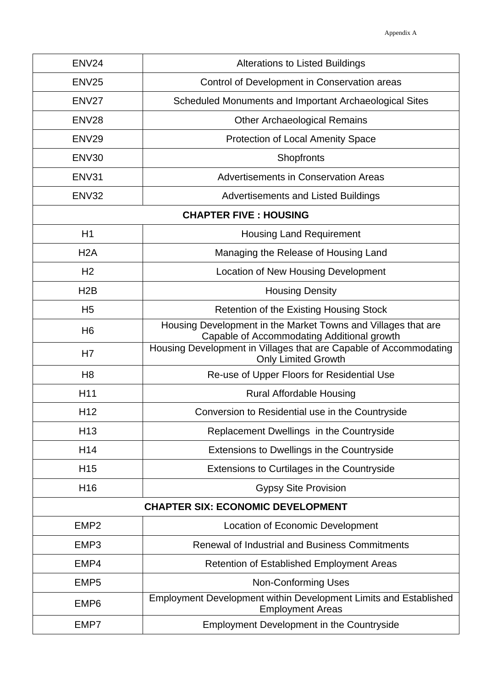| ENV <sub>24</sub>                        | <b>Alterations to Listed Buildings</b>                                                                      |  |
|------------------------------------------|-------------------------------------------------------------------------------------------------------------|--|
| <b>ENV25</b>                             | Control of Development in Conservation areas                                                                |  |
| ENV <sub>27</sub>                        | Scheduled Monuments and Important Archaeological Sites                                                      |  |
| ENV <sub>28</sub>                        | <b>Other Archaeological Remains</b>                                                                         |  |
| ENV <sub>29</sub>                        | <b>Protection of Local Amenity Space</b>                                                                    |  |
| ENV30                                    | Shopfronts                                                                                                  |  |
| ENV31                                    | <b>Advertisements in Conservation Areas</b>                                                                 |  |
| ENV32                                    | <b>Advertisements and Listed Buildings</b>                                                                  |  |
|                                          | <b>CHAPTER FIVE : HOUSING</b>                                                                               |  |
| H1                                       | <b>Housing Land Requirement</b>                                                                             |  |
| H <sub>2</sub> A                         | Managing the Release of Housing Land                                                                        |  |
| H <sub>2</sub>                           | Location of New Housing Development                                                                         |  |
| H <sub>2</sub> B                         | <b>Housing Density</b>                                                                                      |  |
| H <sub>5</sub>                           | <b>Retention of the Existing Housing Stock</b>                                                              |  |
| H <sub>6</sub>                           | Housing Development in the Market Towns and Villages that are<br>Capable of Accommodating Additional growth |  |
| H <sub>7</sub>                           | Housing Development in Villages that are Capable of Accommodating<br><b>Only Limited Growth</b>             |  |
| H <sub>8</sub>                           | Re-use of Upper Floors for Residential Use                                                                  |  |
| H11                                      | <b>Rural Affordable Housing</b>                                                                             |  |
| H <sub>12</sub>                          | Conversion to Residential use in the Countryside                                                            |  |
| H <sub>13</sub>                          | Replacement Dwellings in the Countryside                                                                    |  |
| H <sub>14</sub>                          | Extensions to Dwellings in the Countryside                                                                  |  |
| H <sub>15</sub>                          | Extensions to Curtilages in the Countryside                                                                 |  |
| H <sub>16</sub>                          | <b>Gypsy Site Provision</b>                                                                                 |  |
| <b>CHAPTER SIX: ECONOMIC DEVELOPMENT</b> |                                                                                                             |  |
| EMP <sub>2</sub>                         | Location of Economic Development                                                                            |  |
| EMP3                                     | <b>Renewal of Industrial and Business Commitments</b>                                                       |  |
| EMP4                                     | <b>Retention of Established Employment Areas</b>                                                            |  |
| EMP <sub>5</sub>                         | <b>Non-Conforming Uses</b>                                                                                  |  |
| EMP <sub>6</sub>                         | Employment Development within Development Limits and Established<br><b>Employment Areas</b>                 |  |
| EMP7                                     | <b>Employment Development in the Countryside</b>                                                            |  |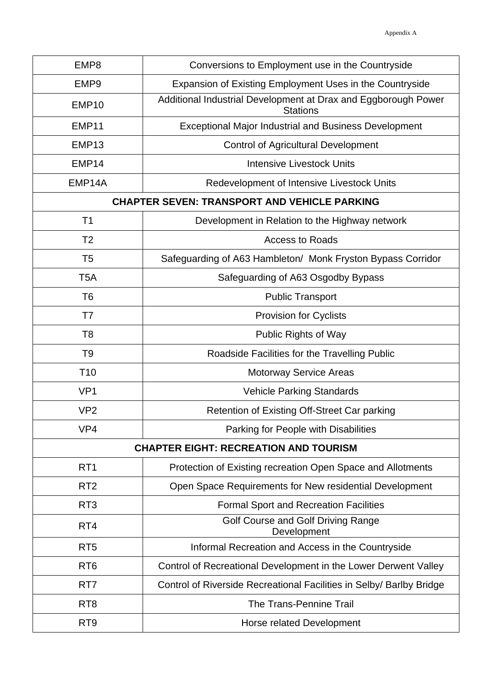| EMP8                                                | Conversions to Employment use in the Countryside                                  |  |
|-----------------------------------------------------|-----------------------------------------------------------------------------------|--|
| EMP <sub>9</sub>                                    | Expansion of Existing Employment Uses in the Countryside                          |  |
| EMP <sub>10</sub>                                   | Additional Industrial Development at Drax and Eggborough Power<br><b>Stations</b> |  |
| EMP <sub>11</sub>                                   | <b>Exceptional Major Industrial and Business Development</b>                      |  |
| EMP <sub>13</sub>                                   | <b>Control of Agricultural Development</b>                                        |  |
| EMP <sub>14</sub>                                   | <b>Intensive Livestock Units</b>                                                  |  |
| EMP14A                                              | Redevelopment of Intensive Livestock Units                                        |  |
| <b>CHAPTER SEVEN: TRANSPORT AND VEHICLE PARKING</b> |                                                                                   |  |
| T1                                                  | Development in Relation to the Highway network                                    |  |
| T <sub>2</sub>                                      | <b>Access to Roads</b>                                                            |  |
| T <sub>5</sub>                                      | Safeguarding of A63 Hambleton/ Monk Fryston Bypass Corridor                       |  |
| T5A                                                 | Safeguarding of A63 Osgodby Bypass                                                |  |
| T <sub>6</sub>                                      | <b>Public Transport</b>                                                           |  |
| T7                                                  | <b>Provision for Cyclists</b>                                                     |  |
| T <sub>8</sub>                                      | <b>Public Rights of Way</b>                                                       |  |
| T <sub>9</sub>                                      | Roadside Facilities for the Travelling Public                                     |  |
| T <sub>10</sub>                                     | <b>Motorway Service Areas</b>                                                     |  |
| VP <sub>1</sub>                                     | <b>Vehicle Parking Standards</b>                                                  |  |
| VP <sub>2</sub>                                     | Retention of Existing Off-Street Car parking                                      |  |
| VP <sub>4</sub>                                     | Parking for People with Disabilities                                              |  |
|                                                     | <b>CHAPTER EIGHT: RECREATION AND TOURISM</b>                                      |  |
| RT <sub>1</sub>                                     | Protection of Existing recreation Open Space and Allotments                       |  |
| RT <sub>2</sub>                                     | Open Space Requirements for New residential Development                           |  |
| RT <sub>3</sub>                                     | <b>Formal Sport and Recreation Facilities</b>                                     |  |
| RT <sub>4</sub>                                     | Golf Course and Golf Driving Range<br>Development                                 |  |
| RT <sub>5</sub>                                     | Informal Recreation and Access in the Countryside                                 |  |
| RT <sub>6</sub>                                     | Control of Recreational Development in the Lower Derwent Valley                   |  |
| RT7                                                 | Control of Riverside Recreational Facilities in Selby/ Barlby Bridge              |  |
| RT <sub>8</sub>                                     | The Trans-Pennine Trail                                                           |  |
| RT <sub>9</sub>                                     | Horse related Development                                                         |  |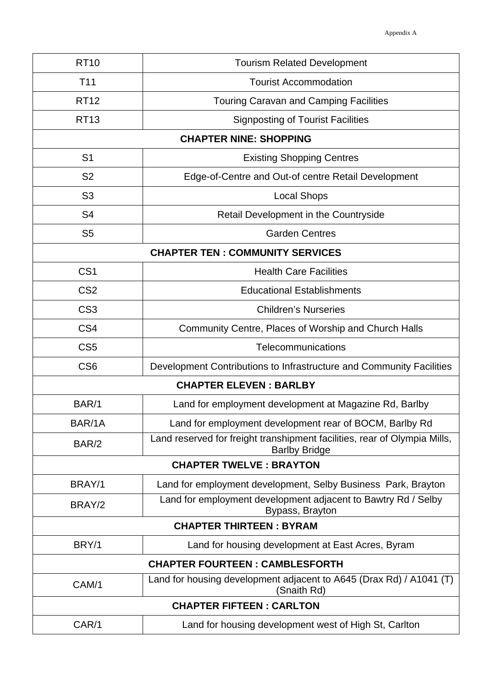| <b>RT10</b>                             | <b>Tourism Related Development</b>                                                                |  |
|-----------------------------------------|---------------------------------------------------------------------------------------------------|--|
| T <sub>11</sub>                         | <b>Tourist Accommodation</b>                                                                      |  |
| <b>RT12</b>                             | <b>Touring Caravan and Camping Facilities</b>                                                     |  |
| <b>RT13</b>                             | <b>Signposting of Tourist Facilities</b>                                                          |  |
|                                         | <b>CHAPTER NINE: SHOPPING</b>                                                                     |  |
| S <sub>1</sub>                          | <b>Existing Shopping Centres</b>                                                                  |  |
| S <sub>2</sub>                          | Edge-of-Centre and Out-of centre Retail Development                                               |  |
| S <sub>3</sub>                          | <b>Local Shops</b>                                                                                |  |
| S <sub>4</sub>                          | Retail Development in the Countryside                                                             |  |
| S <sub>5</sub>                          | <b>Garden Centres</b>                                                                             |  |
| <b>CHAPTER TEN : COMMUNITY SERVICES</b> |                                                                                                   |  |
| CS <sub>1</sub>                         | <b>Health Care Facilities</b>                                                                     |  |
| CS <sub>2</sub>                         | <b>Educational Establishments</b>                                                                 |  |
| CS <sub>3</sub>                         | <b>Children's Nurseries</b>                                                                       |  |
| CS <sub>4</sub>                         | Community Centre, Places of Worship and Church Halls                                              |  |
| CS <sub>5</sub>                         | Telecommunications                                                                                |  |
| CS <sub>6</sub>                         | Development Contributions to Infrastructure and Community Facilities                              |  |
|                                         | <b>CHAPTER ELEVEN: BARLBY</b>                                                                     |  |
| BAR/1                                   | Land for employment development at Magazine Rd, Barlby                                            |  |
| BAR/1A                                  | Land for employment development rear of BOCM, Barlby Rd                                           |  |
| BAR/2                                   | Land reserved for freight transhipment facilities, rear of Olympia Mills,<br><b>Barlby Bridge</b> |  |
| <b>CHAPTER TWELVE: BRAYTON</b>          |                                                                                                   |  |
| BRAY/1                                  | Land for employment development, Selby Business Park, Brayton                                     |  |
| BRAY/2                                  | Land for employment development adjacent to Bawtry Rd / Selby<br>Bypass, Brayton                  |  |
| <b>CHAPTER THIRTEEN: BYRAM</b>          |                                                                                                   |  |
| BRY/1                                   | Land for housing development at East Acres, Byram                                                 |  |
| <b>CHAPTER FOURTEEN: CAMBLESFORTH</b>   |                                                                                                   |  |
| CAM/1                                   | Land for housing development adjacent to A645 (Drax Rd) / A1041 (T)<br>(Snaith Rd)                |  |
| <b>CHAPTER FIFTEEN: CARLTON</b>         |                                                                                                   |  |
| CAR/1                                   | Land for housing development west of High St, Carlton                                             |  |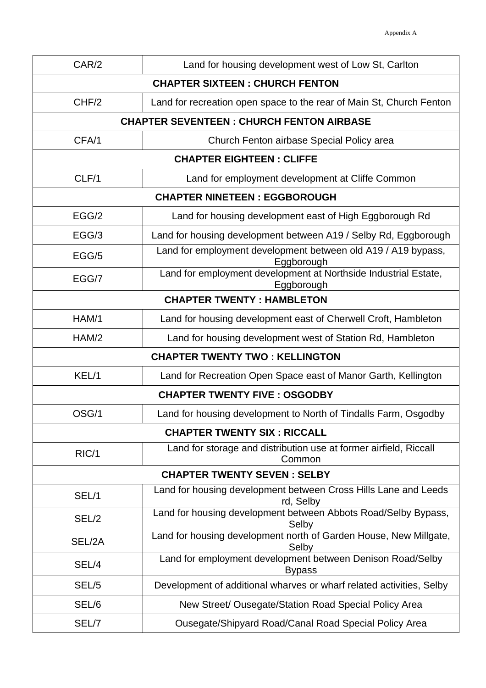| CAR/2                                           | Land for housing development west of Low St, Carlton                          |  |
|-------------------------------------------------|-------------------------------------------------------------------------------|--|
| <b>CHAPTER SIXTEEN: CHURCH FENTON</b>           |                                                                               |  |
| CHF/2                                           | Land for recreation open space to the rear of Main St, Church Fenton          |  |
| <b>CHAPTER SEVENTEEN: CHURCH FENTON AIRBASE</b> |                                                                               |  |
| CFA/1                                           | Church Fenton airbase Special Policy area                                     |  |
| <b>CHAPTER EIGHTEEN: CLIFFE</b>                 |                                                                               |  |
| CLF/1                                           | Land for employment development at Cliffe Common                              |  |
|                                                 | <b>CHAPTER NINETEEN: EGGBOROUGH</b>                                           |  |
| EGG/2                                           | Land for housing development east of High Eggborough Rd                       |  |
| EGG/3                                           | Land for housing development between A19 / Selby Rd, Eggborough               |  |
| EGG/5                                           | Land for employment development between old A19 / A19 bypass,<br>Eggborough   |  |
| EGG/7                                           | Land for employment development at Northside Industrial Estate,<br>Eggborough |  |
|                                                 | <b>CHAPTER TWENTY: HAMBLETON</b>                                              |  |
| HAM/1                                           | Land for housing development east of Cherwell Croft, Hambleton                |  |
| HAM/2                                           | Land for housing development west of Station Rd, Hambleton                    |  |
|                                                 | <b>CHAPTER TWENTY TWO: KELLINGTON</b>                                         |  |
| KEL/1                                           | Land for Recreation Open Space east of Manor Garth, Kellington                |  |
|                                                 | <b>CHAPTER TWENTY FIVE: OSGODBY</b>                                           |  |
| OSG/1                                           | Land for housing development to North of Tindalls Farm, Osgodby               |  |
|                                                 | <b>CHAPTER TWENTY SIX: RICCALL</b>                                            |  |
| RIC/1                                           | Land for storage and distribution use at former airfield, Riccall<br>Common   |  |
| <b>CHAPTER TWENTY SEVEN: SELBY</b>              |                                                                               |  |
| SEL/1                                           | Land for housing development between Cross Hills Lane and Leeds<br>rd, Selby  |  |
| SEL/2                                           | Land for housing development between Abbots Road/Selby Bypass,<br>Selby       |  |
| SEL/2A                                          | Land for housing development north of Garden House, New Millgate,<br>Selby    |  |
| SEL/4                                           | Land for employment development between Denison Road/Selby<br><b>Bypass</b>   |  |
| SEL/5                                           | Development of additional wharves or wharf related activities, Selby          |  |
| SEL/6                                           | New Street/ Ousegate/Station Road Special Policy Area                         |  |
| SEL/7                                           | Ousegate/Shipyard Road/Canal Road Special Policy Area                         |  |